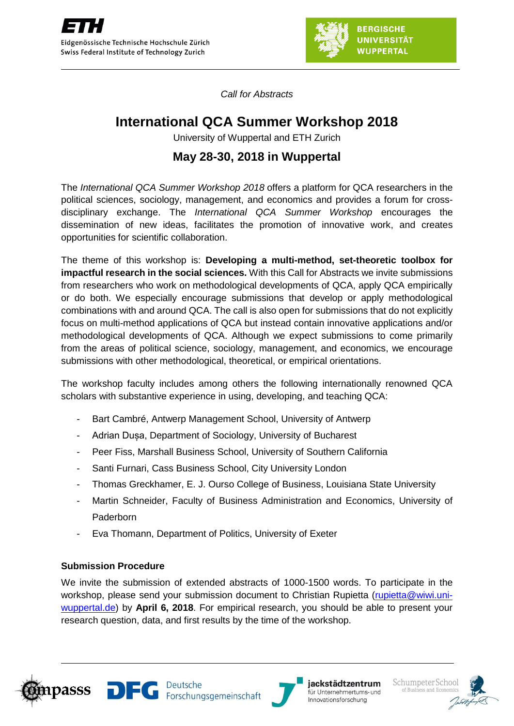

*Call for Abstracts*

# **International QCA Summer Workshop 2018**

University of Wuppertal and ETH Zurich

# **May 28-30, 2018 in Wuppertal**

The *International QCA Summer Workshop 2018* offers a platform for QCA researchers in the political sciences, sociology, management, and economics and provides a forum for crossdisciplinary exchange. The *International QCA Summer Workshop* encourages the dissemination of new ideas, facilitates the promotion of innovative work, and creates opportunities for scientific collaboration.

The theme of this workshop is: **Developing a multi-method, set-theoretic toolbox for impactful research in the social sciences.** With this Call for Abstracts we invite submissions from researchers who work on methodological developments of QCA, apply QCA empirically or do both. We especially encourage submissions that develop or apply methodological combinations with and around QCA. The call is also open for submissions that do not explicitly focus on multi-method applications of QCA but instead contain innovative applications and/or methodological developments of QCA. Although we expect submissions to come primarily from the areas of political science, sociology, management, and economics, we encourage submissions with other methodological, theoretical, or empirical orientations.

The workshop faculty includes among others the following internationally renowned QCA scholars with substantive experience in using, developing, and teaching QCA:

- Bart Cambré, Antwerp Management School, University of Antwerp
- Adrian Dușa, Department of Sociology, University of Bucharest
- Peer Fiss, Marshall Business School, University of Southern California
- Santi Furnari, Cass Business School, City University London
- Thomas Greckhamer, E. J. Ourso College of Business, Louisiana State University
- Martin Schneider, Faculty of Business Administration and Economics, University of Paderborn
- Eva Thomann, Department of Politics, University of Exeter

## **Submission Procedure**

We invite the submission of extended abstracts of 1000-1500 words. To participate in the workshop, please send your submission document to Christian Rupietta [\(rupietta@wiwi.uni](mailto:christian.rupietta@uzh.ch)[wuppertal.de\)](mailto:christian.rupietta@uzh.ch) by **April 6, 2018**. For empirical research, you should be able to present your research question, data, and first results by the time of the workshop.







jackstädtzentrum für Unternehmertums- und Innovationsforschung

Schumpeter Schoo of Business and Economi